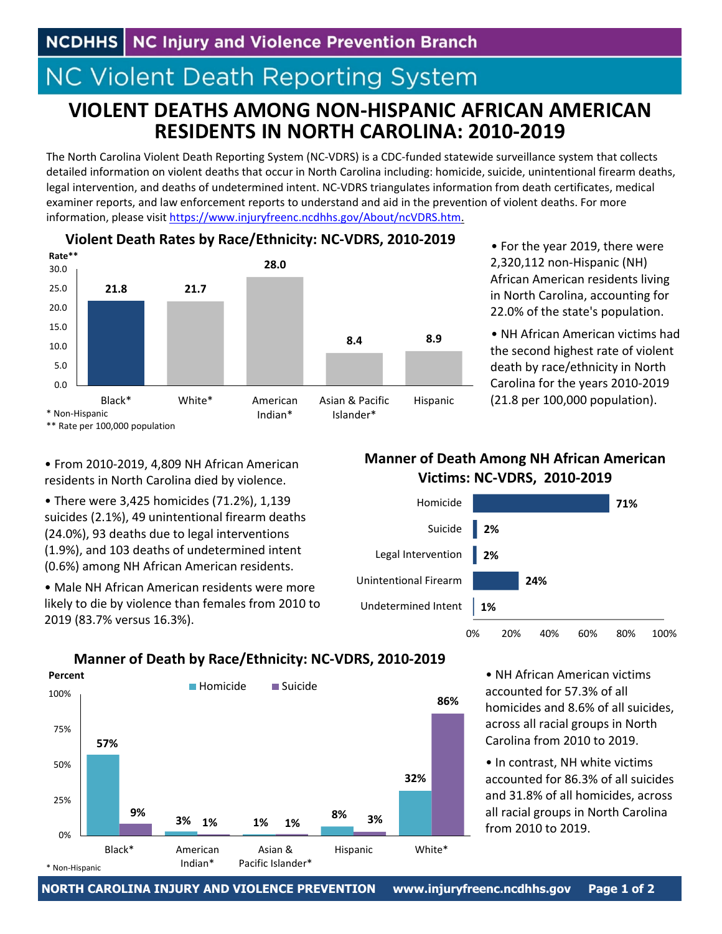# **NC Violent Death Reporting System**

## **VIOLENT DEATHS AMONG NON‐HISPANIC AFRICAN AMERICAN RESIDENTS IN NORTH CAROLINA: 2010‐2019**

The North Carolina Violent Death Reporting System (NC‐VDRS) is a CDC‐funded statewide surveillance system that collects detailed information on violent deaths that occur in North Carolina including: homicide, suicide, unintentional firearm deaths, legal intervention, and deaths of undetermined intent. NC‐VDRS triangulates information from death certificates, medical examiner reports, and law enforcement reports to understand and aid in the prevention of violent deaths. For more information, please visit https://www.injuryfreenc.ncdhhs.gov/About/ncVDRS.htm.



**Violent Death Rates by Race/Ethnicity: NC‐VDRS, 2010‐2019**

• For the year 2019, there were 2,320,112 non‐Hispanic (NH) African American residents living in North Carolina, accounting for 22.0% of the state's population.

• NH African American victims had the second highest rate of violent death by race/ethnicity in North Carolina for the years 2010‐2019 (21.8 per 100,000 population).

• From 2010‐2019, 4,809 NH African American residents in North Carolina died by violence.

• There were 3,425 homicides (71.2%), 1,139 suicides (2.1%), 49 unintentional firearm deaths (24.0%), 93 deaths due to legal interventions (1.9%), and 103 deaths of undetermined intent (0.6%) among NH African American residents.

• Male NH African American residents were more likely to die by violence than females from 2010 to 2019 (83.7% versus 16.3%).

Black\* American

\* Non‐Hispanic

Indian\*

## **Manner of Death Among NH African American Victims: NC‐VDRS, 2010‐2019**



#### **57% 3% 1% 8% 32% 9% 1% 1% 3% 86%** 0% 25% 50% 75% 100% Homicide Suicide **Percent**

Asian & Pacific Islander\*

**Manner of Death by Race/Ethnicity: NC‐VDRS, 2010‐2019**

• NH African American victims accounted for 57.3% of all homicides and 8.6% of all suicides, across all racial groups in North Carolina from 2010 to 2019.

• In contrast, NH white victims accounted for 86.3% of all suicides and 31.8% of all homicides, across all racial groups in North Carolina from 2010 to 2019.

Hispanic White\*